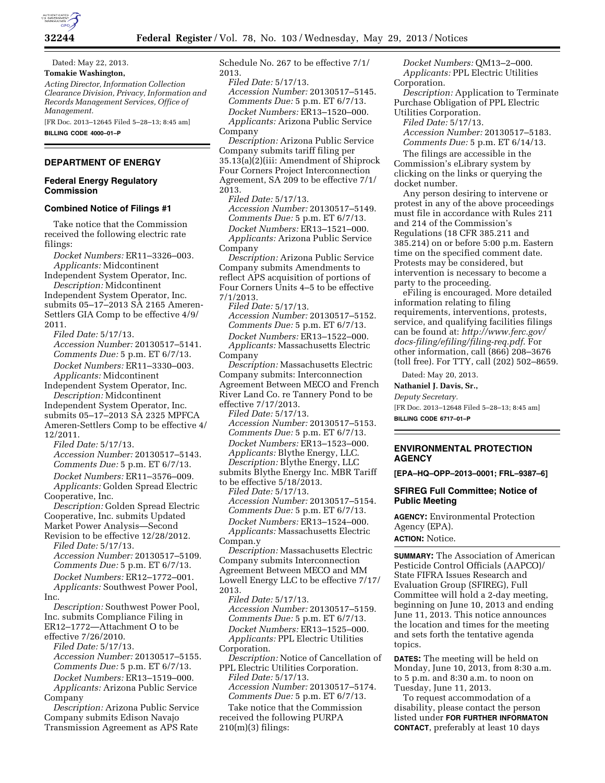

Dated: May 22, 2013. **Tomakie Washington,**  *Acting Director, Information Collection Clearance Division, Privacy, Information and Records Management Services, Office of Management.* 

[FR Doc. 2013–12645 Filed 5–28–13; 8:45 am] **BILLING CODE 4000–01–P** 

## **DEPARTMENT OF ENERGY**

#### **Federal Energy Regulatory Commission**

#### **Combined Notice of Filings #1**

Take notice that the Commission received the following electric rate filings:

*Docket Numbers:* ER11–3326–003. *Applicants:* Midcontinent Independent System Operator, Inc.

*Description:* Midcontinent Independent System Operator, Inc. submits 05–17–2013 SA 2165 Ameren-Settlers GIA Comp to be effective 4/9/ 2011.

*Filed Date:* 5/17/13. *Accession Number:* 20130517–5141. *Comments Due:* 5 p.m. ET 6/7/13. *Docket Numbers:* ER11–3330–003. *Applicants:* Midcontinent

Independent System Operator, Inc. *Description:* Midcontinent Independent System Operator, Inc.

submits 05–17–2013 SA 2325 MPFCA Ameren-Settlers Comp to be effective 4/ 12/2011.

*Filed Date:* 5/17/13. *Accession Number:* 20130517–5143. *Comments Due:* 5 p.m. ET 6/7/13. *Docket Numbers:* ER11–3576–009.

*Applicants:* Golden Spread Electric Cooperative, Inc.

*Description:* Golden Spread Electric Cooperative, Inc. submits Updated Market Power Analysis—Second

Revision to be effective 12/28/2012. *Filed Date:* 5/17/13.

*Accession Number:* 20130517–5109. *Comments Due:* 5 p.m. ET 6/7/13. *Docket Numbers:* ER12–1772–001.

*Applicants:* Southwest Power Pool, Inc.

*Description:* Southwest Power Pool, Inc. submits Compliance Filing in ER12–1772—Attachment O to be effective 7/26/2010.

*Filed Date:* 5/17/13. *Accession Number:* 20130517–5155. *Comments Due:* 5 p.m. ET 6/7/13.

*Docket Numbers:* ER13–1519–000. *Applicants:* Arizona Public Service

Company

*Description:* Arizona Public Service Company submits Edison Navajo Transmission Agreement as APS Rate Schedule No. 267 to be effective 7/1/ 2013.

*Filed Date:* 5/17/13. *Accession Number:* 20130517–5145. *Comments Due:* 5 p.m. ET 6/7/13. *Docket Numbers:* ER13–1520–000. *Applicants:* Arizona Public Service Company

*Description:* Arizona Public Service Company submits tariff filing per 35.13(a)(2)(iii: Amendment of Shiprock Four Corners Project Interconnection Agreement, SA 209 to be effective 7/1/ 2013.

*Filed Date:* 5/17/13. *Accession Number:* 20130517–5149. *Comments Due:* 5 p.m. ET 6/7/13. *Docket Numbers:* ER13–1521–000. *Applicants:* Arizona Public Service Company

*Description:* Arizona Public Service Company submits Amendments to reflect APS acquisition of portions of Four Corners Units 4–5 to be effective 7/1/2013.

*Filed Date:* 5/17/13. *Accession Number:* 20130517–5152. *Comments Due:* 5 p.m. ET 6/7/13. *Docket Numbers:* ER13–1522–000. *Applicants:* Massachusetts Electric Company

*Description:* Massachusetts Electric Company submits: Interconnection Agreement Between MECO and French River Land Co. re Tannery Pond to be effective 7/17/2013.

*Filed Date:* 5/17/13. *Accession Number:* 20130517–5153. *Comments Due:* 5 p.m. ET 6/7/13. *Docket Numbers:* ER13–1523–000. *Applicants:* Blythe Energy, LLC. *Description:* Blythe Energy, LLC submits Blythe Energy Inc. MBR Tariff

to be effective 5/18/2013. *Filed Date:* 5/17/13. *Accession Number:* 20130517–5154. *Comments Due:* 5 p.m. ET 6/7/13. *Docket Numbers:* ER13–1524–000.

*Applicants:* Massachusetts Electric Compan.y

*Description:* Massachusetts Electric Company submits Interconnection Agreement Between MECO and MM Lowell Energy LLC to be effective 7/17/ 2013.

*Filed Date:* 5/17/13. *Accession Number:* 20130517–5159. *Comments Due:* 5 p.m. ET 6/7/13. *Docket Numbers:* ER13–1525–000. *Applicants:* PPL Electric Utilities Corporation.

*Description:* Notice of Cancellation of PPL Electric Utilities Corporation.

*Filed Date:* 5/17/13. *Accession Number:* 20130517–5174. *Comments Due:* 5 p.m. ET 6/7/13.

Take notice that the Commission received the following PURPA 210(m)(3) filings:

*Docket Numbers:* QM13–2–000. *Applicants:* PPL Electric Utilities Corporation.

*Description:* Application to Terminate Purchase Obligation of PPL Electric Utilities Corporation.

*Filed Date:* 5/17/13.

*Accession Number:* 20130517–5183. *Comments Due:* 5 p.m. ET 6/14/13.

The filings are accessible in the Commission's eLibrary system by clicking on the links or querying the docket number.

Any person desiring to intervene or protest in any of the above proceedings must file in accordance with Rules 211 and 214 of the Commission's Regulations (18 CFR 385.211 and 385.214) on or before 5:00 p.m. Eastern time on the specified comment date. Protests may be considered, but intervention is necessary to become a party to the proceeding.

eFiling is encouraged. More detailed information relating to filing requirements, interventions, protests, service, and qualifying facilities filings can be found at: *[http://www.ferc.gov/](http://www.ferc.gov/docs-filing/efiling/filing-req.pdf)  [docs-filing/efiling/filing-req.pdf](http://www.ferc.gov/docs-filing/efiling/filing-req.pdf)*. For other information, call (866) 208–3676 (toll free). For TTY, call (202) 502–8659.

Dated: May 20, 2013.

**Nathaniel J. Davis, Sr.,** 

*Deputy Secretary.* 

[FR Doc. 2013–12648 Filed 5–28–13; 8:45 am] **BILLING CODE 6717–01–P** 

## **ENVIRONMENTAL PROTECTION AGENCY**

**[EPA–HQ–OPP–2013–0001; FRL–9387–6]** 

## **SFIREG Full Committee; Notice of Public Meeting**

**AGENCY:** Environmental Protection Agency (EPA). **ACTION:** Notice.

**SUMMARY:** The Association of American Pesticide Control Officials (AAPCO)/ State FIFRA Issues Research and Evaluation Group (SFIREG), Full Committee will hold a 2-day meeting, beginning on June 10, 2013 and ending June 11, 2013. This notice announces the location and times for the meeting and sets forth the tentative agenda topics.

**DATES:** The meeting will be held on Monday, June 10, 2013, from 8:30 a.m. to 5 p.m. and 8:30 a.m. to noon on Tuesday, June 11, 2013.

To request accommodation of a disability, please contact the person listed under **FOR FURTHER INFORMATON CONTACT**, preferably at least 10 days